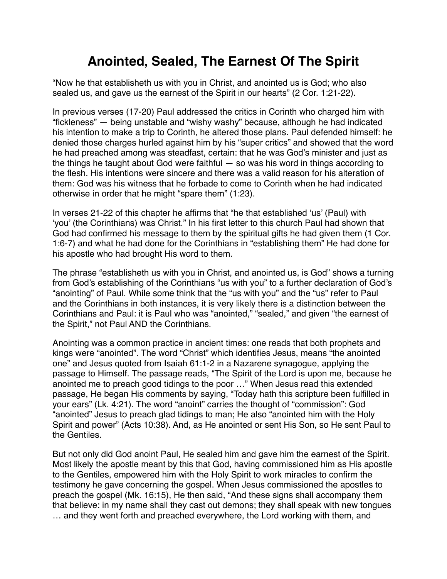## **Anointed, Sealed, The Earnest Of The Spirit**

"Now he that establisheth us with you in Christ, and anointed us is God; who also sealed us, and gave us the earnest of the Spirit in our hearts" (2 Cor. 1:21-22).

In previous verses (17-20) Paul addressed the critics in Corinth who charged him with "fickleness" — being unstable and "wishy washy" because, although he had indicated his intention to make a trip to Corinth, he altered those plans. Paul defended himself: he denied those charges hurled against him by his "super critics" and showed that the word he had preached among was steadfast, certain: that he was God's minister and just as the things he taught about God were faithful — so was his word in things according to the flesh. His intentions were sincere and there was a valid reason for his alteration of them: God was his witness that he forbade to come to Corinth when he had indicated otherwise in order that he might "spare them" (1:23).

In verses 21-22 of this chapter he affirms that "he that established 'us' (Paul) with 'you' (the Corinthians) was Christ." In his first letter to this church Paul had shown that God had confirmed his message to them by the spiritual gifts he had given them (1 Cor. 1:6-7) and what he had done for the Corinthians in "establishing them" He had done for his apostle who had brought His word to them.

The phrase "establisheth us with you in Christ, and anointed us, is God" shows a turning from God's establishing of the Corinthians "us with you" to a further declaration of God's "anointing" of Paul. While some think that the "us with you" and the "us" refer to Paul and the Corinthians in both instances, it is very likely there is a distinction between the Corinthians and Paul: it is Paul who was "anointed," "sealed," and given "the earnest of the Spirit," not Paul AND the Corinthians.

Anointing was a common practice in ancient times: one reads that both prophets and kings were "anointed". The word "Christ" which identifies Jesus, means "the anointed one" and Jesus quoted from Isaiah 61:1-2 in a Nazarene synagogue, applying the passage to Himself. The passage reads, "The Spirit of the Lord is upon me, because he anointed me to preach good tidings to the poor …" When Jesus read this extended passage, He began His comments by saying, "Today hath this scripture been fulfilled in your ears" (Lk. 4:21). The word "anoint" carries the thought of "commission": God "anointed" Jesus to preach glad tidings to man; He also "anointed him with the Holy Spirit and power" (Acts 10:38). And, as He anointed or sent His Son, so He sent Paul to the Gentiles.

But not only did God anoint Paul, He sealed him and gave him the earnest of the Spirit. Most likely the apostle meant by this that God, having commissioned him as His apostle to the Gentiles, empowered him with the Holy Spirit to work miracles to confirm the testimony he gave concerning the gospel. When Jesus commissioned the apostles to preach the gospel (Mk. 16:15), He then said, "And these signs shall accompany them that believe: in my name shall they cast out demons; they shall speak with new tongues … and they went forth and preached everywhere, the Lord working with them, and